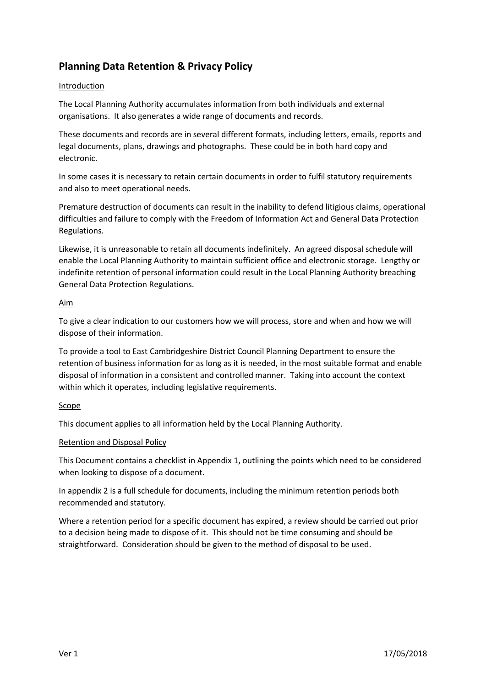## **Planning Data Retention & Privacy Policy**

### Introduction

The Local Planning Authority accumulates information from both individuals and external organisations. It also generates a wide range of documents and records.

These documents and records are in several different formats, including letters, emails, reports and legal documents, plans, drawings and photographs. These could be in both hard copy and electronic.

In some cases it is necessary to retain certain documents in order to fulfil statutory requirements and also to meet operational needs.

Premature destruction of documents can result in the inability to defend litigious claims, operational difficulties and failure to comply with the Freedom of Information Act and General Data Protection Regulations.

Likewise, it is unreasonable to retain all documents indefinitely. An agreed disposal schedule will enable the Local Planning Authority to maintain sufficient office and electronic storage. Lengthy or indefinite retention of personal information could result in the Local Planning Authority breaching General Data Protection Regulations.

#### Aim

To give a clear indication to our customers how we will process, store and when and how we will dispose of their information.

To provide a tool to East Cambridgeshire District Council Planning Department to ensure the retention of business information for as long as it is needed, in the most suitable format and enable disposal of information in a consistent and controlled manner. Taking into account the context within which it operates, including legislative requirements.

## Scope

This document applies to all information held by the Local Planning Authority.

#### Retention and Disposal Policy

This Document contains a checklist in Appendix 1, outlining the points which need to be considered when looking to dispose of a document.

In appendix 2 is a full schedule for documents, including the minimum retention periods both recommended and statutory.

Where a retention period for a specific document has expired, a review should be carried out prior to a decision being made to dispose of it. This should not be time consuming and should be straightforward. Consideration should be given to the method of disposal to be used.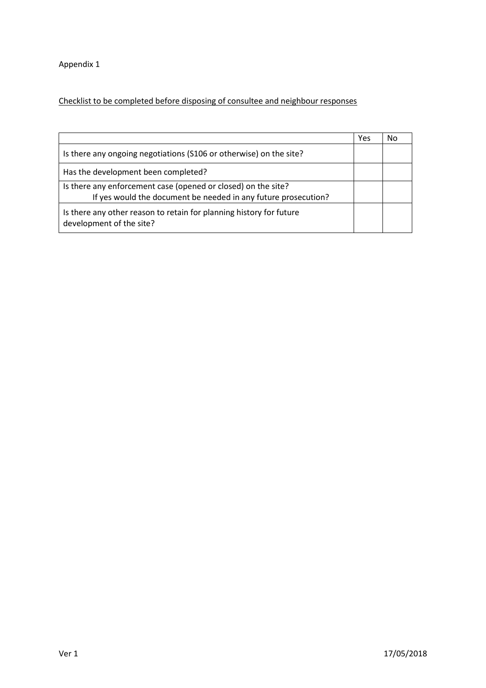Appendix 1

# Checklist to be completed before disposing of consultee and neighbour responses

|                                                                                                                                 | Yes | No |
|---------------------------------------------------------------------------------------------------------------------------------|-----|----|
| Is there any ongoing negotiations (S106 or otherwise) on the site?                                                              |     |    |
| Has the development been completed?                                                                                             |     |    |
| Is there any enforcement case (opened or closed) on the site?<br>If yes would the document be needed in any future prosecution? |     |    |
| Is there any other reason to retain for planning history for future<br>development of the site?                                 |     |    |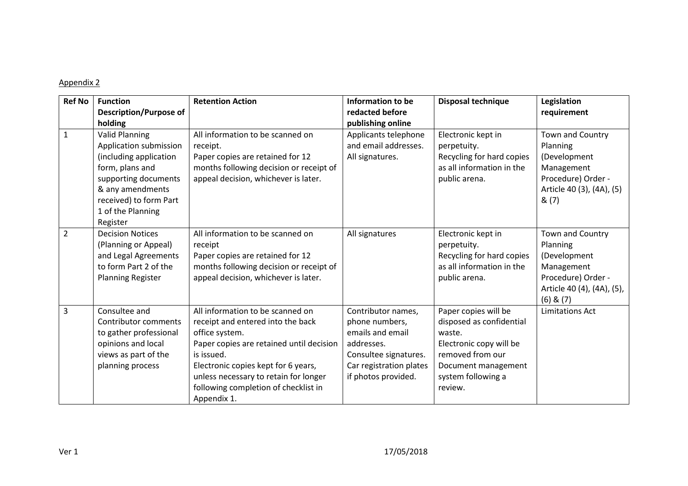### Appendix 2

| <b>Ref No</b>  | <b>Function</b><br><b>Description/Purpose of</b><br>holding                                                                                                                                         | <b>Retention Action</b>                                                                                                                                                                                                                                                                  | Information to be<br>redacted before<br>publishing online                                                                                         | <b>Disposal technique</b>                                                                                                                                         | Legislation<br>requirement                                                                                                      |
|----------------|-----------------------------------------------------------------------------------------------------------------------------------------------------------------------------------------------------|------------------------------------------------------------------------------------------------------------------------------------------------------------------------------------------------------------------------------------------------------------------------------------------|---------------------------------------------------------------------------------------------------------------------------------------------------|-------------------------------------------------------------------------------------------------------------------------------------------------------------------|---------------------------------------------------------------------------------------------------------------------------------|
| $\mathbf 1$    | <b>Valid Planning</b><br>Application submission<br>(including application<br>form, plans and<br>supporting documents<br>& any amendments<br>received) to form Part<br>1 of the Planning<br>Register | All information to be scanned on<br>receipt.<br>Paper copies are retained for 12<br>months following decision or receipt of<br>appeal decision, whichever is later.                                                                                                                      | Applicants telephone<br>and email addresses.<br>All signatures.                                                                                   | Electronic kept in<br>perpetuity.<br>Recycling for hard copies<br>as all information in the<br>public arena.                                                      | Town and Country<br>Planning<br>(Development<br>Management<br>Procedure) Order -<br>Article 40 (3), (4A), (5)<br>&(7)           |
| $\overline{2}$ | <b>Decision Notices</b><br>(Planning or Appeal)<br>and Legal Agreements<br>to form Part 2 of the<br><b>Planning Register</b>                                                                        | All information to be scanned on<br>receipt<br>Paper copies are retained for 12<br>months following decision or receipt of<br>appeal decision, whichever is later.                                                                                                                       | All signatures                                                                                                                                    | Electronic kept in<br>perpetuity.<br>Recycling for hard copies<br>as all information in the<br>public arena.                                                      | Town and Country<br>Planning<br>(Development<br>Management<br>Procedure) Order -<br>Article 40 (4), (4A), (5),<br>$(6)$ & $(7)$ |
| 3              | Consultee and<br><b>Contributor comments</b><br>to gather professional<br>opinions and local<br>views as part of the<br>planning process                                                            | All information to be scanned on<br>receipt and entered into the back<br>office system.<br>Paper copies are retained until decision<br>is issued.<br>Electronic copies kept for 6 years,<br>unless necessary to retain for longer<br>following completion of checklist in<br>Appendix 1. | Contributor names,<br>phone numbers,<br>emails and email<br>addresses.<br>Consultee signatures.<br>Car registration plates<br>if photos provided. | Paper copies will be<br>disposed as confidential<br>waste.<br>Electronic copy will be<br>removed from our<br>Document management<br>system following a<br>review. | <b>Limitations Act</b>                                                                                                          |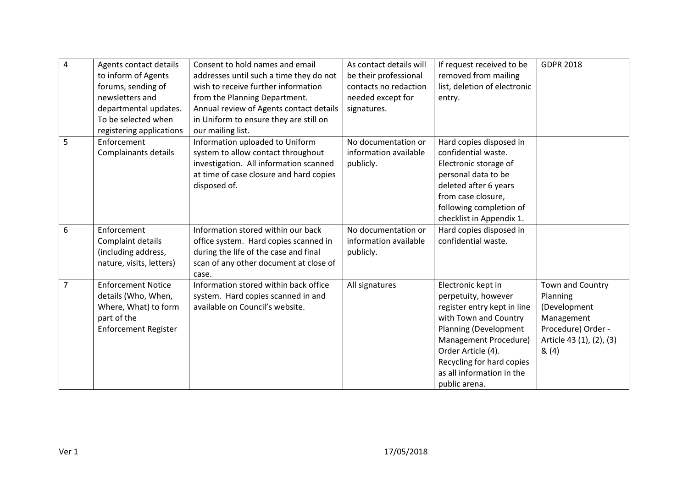| $\overline{4}$ | Agents contact details<br>to inform of Agents<br>forums, sending of<br>newsletters and<br>departmental updates.<br>To be selected when<br>registering applications | Consent to hold names and email<br>addresses until such a time they do not<br>wish to receive further information<br>from the Planning Department.<br>Annual review of Agents contact details<br>in Uniform to ensure they are still on<br>our mailing list. | As contact details will<br>be their professional<br>contacts no redaction<br>needed except for<br>signatures. | If request received to be<br>removed from mailing<br>list, deletion of electronic<br>entry.                                                                                                                                                          | <b>GDPR 2018</b>                                                                                                     |
|----------------|--------------------------------------------------------------------------------------------------------------------------------------------------------------------|--------------------------------------------------------------------------------------------------------------------------------------------------------------------------------------------------------------------------------------------------------------|---------------------------------------------------------------------------------------------------------------|------------------------------------------------------------------------------------------------------------------------------------------------------------------------------------------------------------------------------------------------------|----------------------------------------------------------------------------------------------------------------------|
| 5              | Enforcement<br>Complainants details                                                                                                                                | Information uploaded to Uniform<br>system to allow contact throughout<br>investigation. All information scanned<br>at time of case closure and hard copies<br>disposed of.                                                                                   | No documentation or<br>information available<br>publicly.                                                     | Hard copies disposed in<br>confidential waste.<br>Electronic storage of<br>personal data to be<br>deleted after 6 years<br>from case closure,<br>following completion of<br>checklist in Appendix 1.                                                 |                                                                                                                      |
| 6              | Enforcement<br>Complaint details<br>(including address,<br>nature, visits, letters)                                                                                | Information stored within our back<br>office system. Hard copies scanned in<br>during the life of the case and final<br>scan of any other document at close of<br>case.                                                                                      | No documentation or<br>information available<br>publicly.                                                     | Hard copies disposed in<br>confidential waste.                                                                                                                                                                                                       |                                                                                                                      |
| $\overline{7}$ | <b>Enforcement Notice</b><br>details (Who, When,<br>Where, What) to form<br>part of the<br><b>Enforcement Register</b>                                             | Information stored within back office<br>system. Hard copies scanned in and<br>available on Council's website.                                                                                                                                               | All signatures                                                                                                | Electronic kept in<br>perpetuity, however<br>register entry kept in line<br>with Town and Country<br>Planning (Development<br>Management Procedure)<br>Order Article (4).<br>Recycling for hard copies<br>as all information in the<br>public arena. | Town and Country<br>Planning<br>(Development<br>Management<br>Procedure) Order -<br>Article 43 (1), (2), (3)<br>&(4) |